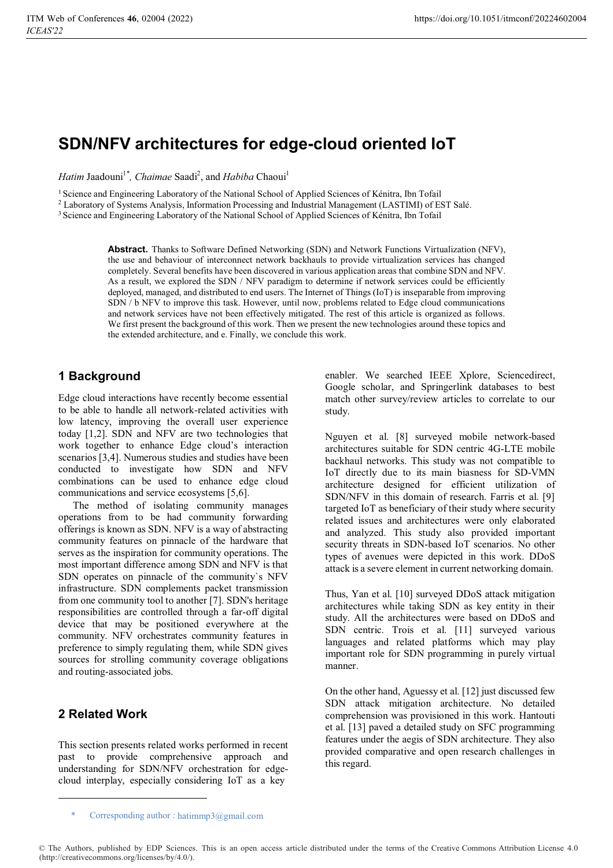# **SDN/NFV architectures for edge-cloud oriented IoT**

*Hatim Jaadouni<sup>1\*</sup>, Chaimae Saadi<sup>2</sup>, and <i>Habiba* Chaoui<sup>1</sup>

<sup>1</sup> Science and Engineering Laboratory of the National School of Applied Sciences of Kénitra, Ibn Tofail

2 Laboratory of Systems Analysis, Information Processing and Industrial Management (LASTIMI) of EST Salé.

3 Science and Engineering Laboratory of the National School of Applied Sciences of Kénitra, Ibn Tofail

**Abstract.** Thanks to Software Defined Networking (SDN) and Network Functions Virtualization (NFV), the use and behaviour of interconnect network backhauls to provide virtualization services has changed completely. Several benefits have been discovered in various application areas that combine SDN and NFV. As a result, we explored the SDN / NFV paradigm to determine if network services could be efficiently deployed, managed, and distributed to end users. The Internet of Things (IoT) is inseparable from improving SDN / b NFV to improve this task. However, until now, problems related to Edge cloud communications and network services have not been effectively mitigated. The rest of this article is organized as follows. We first present the background of this work. Then we present the new technologies around these topics and the extended architecture, and e. Finally, we conclude this work.

### **1 Background**

Edge cloud interactions have recently become essential to be able to handle all network-related activities with low latency, improving the overall user experience today [1,2]. SDN and NFV are two technologies that work together to enhance Edge cloud's interaction scenarios [3,4]. Numerous studies and studies have been conducted to investigate how SDN and NFV combinations can be used to enhance edge cloud communications and service ecosystems [5,6].

The method of isolating community manages operations from to be had community forwarding offerings is known as SDN. NFV is a way of abstracting community features on pinnacle of the hardware that serves as the inspiration for community operations. The most important difference among SDN and NFV is that SDN operates on pinnacle of the community`s NFV infrastructure. SDN complements packet transmission from one community tool to another [7]. SDN's heritage responsibilities are controlled through a far-off digital device that may be positioned everywhere at the community. NFV orchestrates community features in preference to simply regulating them, while SDN gives sources for strolling community coverage obligations and routing-associated jobs.

### **2 Related Work**

This section presents related works performed in recent past to provide comprehensive approach and understanding for SDN/NFV orchestration for edgecloud interplay, especially considering IoT as a key

enabler. We searched IEEE Xplore, Sciencedirect, Google scholar, and Springerlink databases to best match other survey/review articles to correlate to our study.

Nguyen et al. [8] surveyed mobile network-based architectures suitable for SDN centric 4G-LTE mobile backhaul networks. This study was not compatible to IoT directly due to its main biasness for SD-VMN architecture designed for efficient utilization of SDN/NFV in this domain of research. Farris et al. [9] targeted IoT as beneficiary of their study where security related issues and architectures were only elaborated and analyzed. This study also provided important security threats in SDN-based IoT scenarios. No other types of avenues were depicted in this work. DDoS attack is a severe element in current networking domain.

Thus, Yan et al. [10] surveyed DDoS attack mitigation architectures while taking SDN as key entity in their study. All the architectures were based on DDoS and SDN centric. Trois et al. [11] surveyed various languages and related platforms which may play important role for SDN programming in purely virtual manner.

On the other hand, Aguessy et al. [12] just discussed few SDN attack mitigation architecture. No detailed comprehension was provisioned in this work. Hantouti et al. [13] paved a detailed study on SFC programming features under the aegis of SDN architecture. They also provided comparative and open research challenges in this regard.

Corresponding author : hatimmp3@gmail.com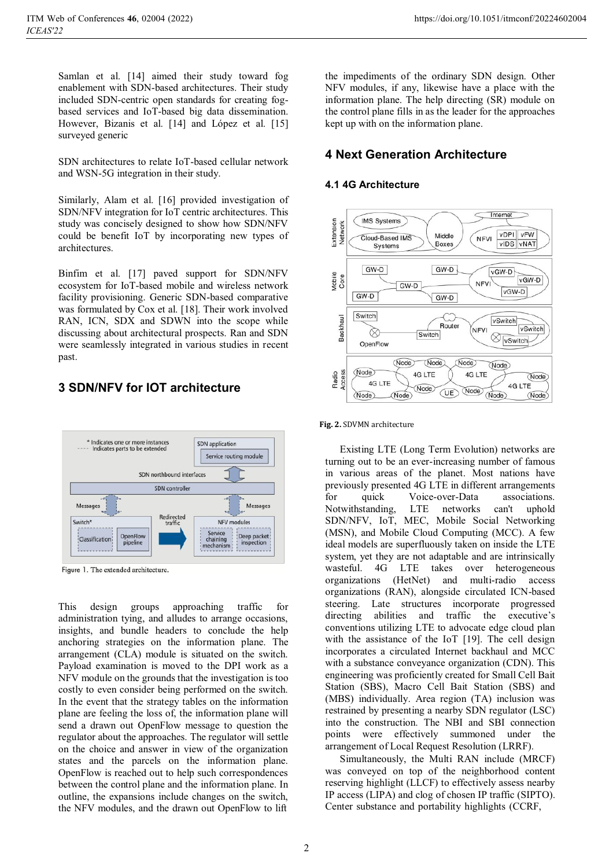Samlan et al. [14] aimed their study toward fog enablement with SDN-based architectures. Their study included SDN-centric open standards for creating fogbased services and IoT-based big data dissemination. However, Bizanis et al. [14] and López et al. [15] surveyed generic

SDN architectures to relate IoT-based cellular network and WSN-5G integration in their study.

Similarly, Alam et al. [16] provided investigation of SDN/NFV integration for IoT centric architectures. This study was concisely designed to show how SDN/NFV could be benefit IoT by incorporating new types of architectures.

Binfim et al. [17] paved support for SDN/NFV ecosystem for IoT-based mobile and wireless network facility provisioning. Generic SDN-based comparative was formulated by Cox et al. [18]. Their work involved RAN, ICN, SDX and SDWN into the scope while discussing about architectural prospects. Ran and SDN were seamlessly integrated in various studies in recent past.

## **3 SDN/NFV for IOT architecture**



Figure 1. The extended architecture.

This design groups approaching traffic for administration tying, and alludes to arrange occasions, insights, and bundle headers to conclude the help anchoring strategies on the information plane. The arrangement (CLA) module is situated on the switch. Payload examination is moved to the DPI work as a NFV module on the grounds that the investigation is too costly to even consider being performed on the switch. In the event that the strategy tables on the information plane are feeling the loss of, the information plane will send a drawn out OpenFlow message to question the regulator about the approaches. The regulator will settle on the choice and answer in view of the organization states and the parcels on the information plane. OpenFlow is reached out to help such correspondences between the control plane and the information plane. In outline, the expansions include changes on the switch, the NFV modules, and the drawn out OpenFlow to lift

the impediments of the ordinary SDN design. Other NFV modules, if any, likewise have a place with the information plane. The help directing (SR) module on the control plane fills in as the leader for the approaches kept up with on the information plane.

### **4 Next Generation Architecture**

### **4.1 4G Architecture**



#### **Fig. 2.** SDVMN architecture

Existing LTE (Long Term Evolution) networks are turning out to be an ever-increasing number of famous in various areas of the planet. Most nations have previously presented 4G LTE in different arrangements for quick Voice-over-Data associations. Notwithstanding, LTE networks can't uphold SDN/NFV, IoT, MEC, Mobile Social Networking (MSN), and Mobile Cloud Computing (MCC). A few ideal models are superfluously taken on inside the LTE system, yet they are not adaptable and are intrinsically wasteful. 4G LTE takes over heterogeneous organizations (HetNet) and multi-radio access organizations (RAN), alongside circulated ICN-based steering. Late structures incorporate progressed directing abilities and traffic the executive's conventions utilizing LTE to advocate edge cloud plan with the assistance of the IoT [19]. The cell design incorporates a circulated Internet backhaul and MCC with a substance conveyance organization (CDN). This engineering was proficiently created for Small Cell Bait Station (SBS), Macro Cell Bait Station (SBS) and (MBS) individually. Area region (TA) inclusion was restrained by presenting a nearby SDN regulator (LSC) into the construction. The NBI and SBI connection points were effectively summoned under the arrangement of Local Request Resolution (LRRF).

Simultaneously, the Multi RAN include (MRCF) was conveyed on top of the neighborhood content reserving highlight (LLCF) to effectively assess nearby IP access (LIPA) and clog of chosen IP traffic (SIPTO). Center substance and portability highlights (CCRF,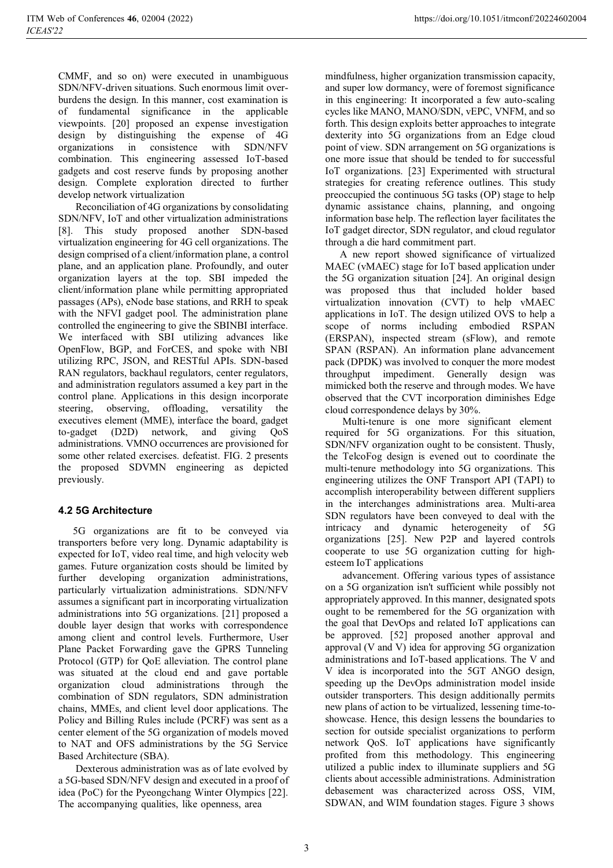CMMF, and so on) were executed in unambiguous SDN/NFV-driven situations. Such enormous limit overburdens the design. In this manner, cost examination is of fundamental significance in the applicable viewpoints. [20] proposed an expense investigation design by distinguishing the expense of 4G organizations in consistence with SDN/NFV combination. This engineering assessed IoT-based gadgets and cost reserve funds by proposing another design. Complete exploration directed to further develop network virtualization

Reconciliation of 4G organizations by consolidating SDN/NFV, IoT and other virtualization administrations [8]. This study proposed another SDN-based virtualization engineering for 4G cell organizations. The design comprised of a client/information plane, a control plane, and an application plane. Profoundly, and outer organization layers at the top. SBI impeded the client/information plane while permitting appropriated passages (APs), eNode base stations, and RRH to speak with the NFVI gadget pool. The administration plane controlled the engineering to give the SBINBI interface. We interfaced with SBI utilizing advances like OpenFlow, BGP, and ForCES, and spoke with NBI utilizing RPC, JSON, and RESTful APIs. SDN-based RAN regulators, backhaul regulators, center regulators, and administration regulators assumed a key part in the control plane. Applications in this design incorporate steering, observing, offloading, versatility the executives element (MME), interface the board, gadget to-gadget (D2D) network, and giving QoS administrations. VMNO occurrences are provisioned for some other related exercises. defeatist. FIG. 2 presents the proposed SDVMN engineering as depicted previously.

### **4.2 5G Architecture**

5G organizations are fit to be conveyed via transporters before very long. Dynamic adaptability is expected for IoT, video real time, and high velocity web games. Future organization costs should be limited by further developing organization administrations, particularly virtualization administrations. SDN/NFV assumes a significant part in incorporating virtualization administrations into 5G organizations. [21] proposed a double layer design that works with correspondence among client and control levels. Furthermore, User Plane Packet Forwarding gave the GPRS Tunneling Protocol (GTP) for QoE alleviation. The control plane was situated at the cloud end and gave portable organization cloud administrations through the combination of SDN regulators, SDN administration chains, MMEs, and client level door applications. The Policy and Billing Rules include (PCRF) was sent as a center element of the 5G organization of models moved to NAT and OFS administrations by the 5G Service Based Architecture (SBA).

Dexterous administration was as of late evolved by a 5G-based SDN/NFV design and executed in a proof of idea (PoC) for the Pyeongchang Winter Olympics [22]. The accompanying qualities, like openness, area

mindfulness, higher organization transmission capacity, and super low dormancy, were of foremost significance in this engineering: It incorporated a few auto-scaling cycles like MANO, MANO/SDN, vEPC, VNFM, and so forth. This design exploits better approaches to integrate dexterity into 5G organizations from an Edge cloud point of view. SDN arrangement on 5G organizations is one more issue that should be tended to for successful IoT organizations. [23] Experimented with structural strategies for creating reference outlines. This study preoccupied the continuous 5G tasks (OP) stage to help dynamic assistance chains, planning, and ongoing information base help. The reflection layer facilitates the IoT gadget director, SDN regulator, and cloud regulator through a die hard commitment part.

A new report showed significance of virtualized MAEC (vMAEC) stage for IoT based application under the 5G organization situation [24]. An original design was proposed thus that included holder based virtualization innovation (CVT) to help vMAEC applications in IoT. The design utilized OVS to help a scope of norms including embodied RSPAN (ERSPAN), inspected stream (sFlow), and remote SPAN (RSPAN). An information plane advancement pack (DPDK) was involved to conquer the more modest throughput impediment. Generally design was mimicked both the reserve and through modes. We have observed that the CVT incorporation diminishes Edge cloud correspondence delays by 30%.

Multi-tenure is one more significant element required for 5G organizations. For this situation, SDN/NFV organization ought to be consistent. Thusly, the TelcoFog design is evened out to coordinate the multi-tenure methodology into 5G organizations. This engineering utilizes the ONF Transport API (TAPI) to accomplish interoperability between different suppliers in the interchanges administrations area. Multi-area SDN regulators have been conveyed to deal with the intricacy and dynamic heterogeneity of 5G organizations [25]. New P2P and layered controls cooperate to use 5G organization cutting for highesteem IoT applications

advancement. Offering various types of assistance on a 5G organization isn't sufficient while possibly not appropriately approved. In this manner, designated spots ought to be remembered for the 5G organization with the goal that DevOps and related IoT applications can be approved. [52] proposed another approval and approval (V and V) idea for approving 5G organization administrations and IoT-based applications. The V and V idea is incorporated into the 5GT ANGO design, speeding up the DevOps administration model inside outsider transporters. This design additionally permits new plans of action to be virtualized, lessening time-toshowcase. Hence, this design lessens the boundaries to section for outside specialist organizations to perform network QoS. IoT applications have significantly profited from this methodology. This engineering utilized a public index to illuminate suppliers and 5G clients about accessible administrations. Administration debasement was characterized across OSS, VIM, SDWAN, and WIM foundation stages. Figure 3 shows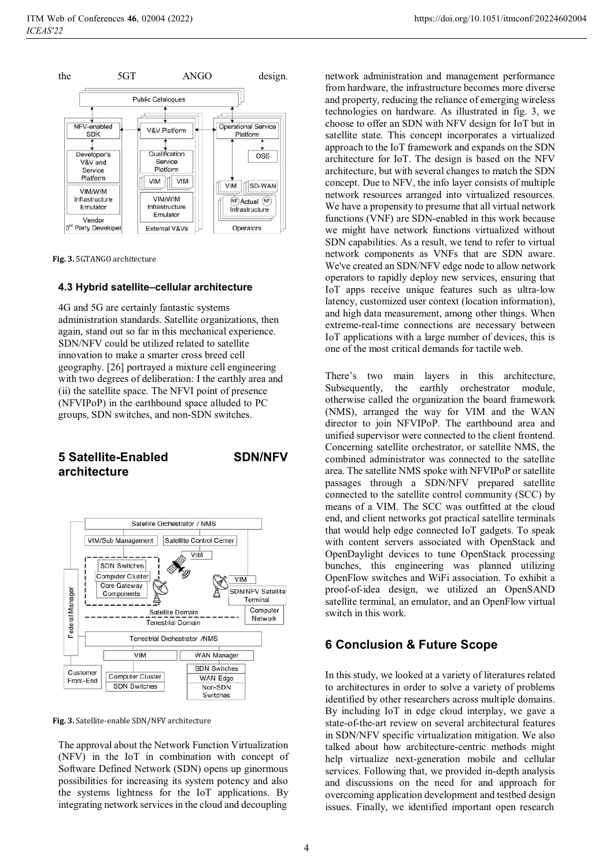

**Fig. 3.** 5GTANGO architecture

#### **4.3 Hybrid satellite–cellular architecture**

4G and 5G are certainly fantastic systems administration standards. Satellite organizations, then again, stand out so far in this mechanical experience. SDN/NFV could be utilized related to satellite innovation to make a smarter cross breed cell geography. [26] portrayed a mixture cell engineering with two degrees of deliberation: I the earthly area and (ii) the satellite space. The NFVI point of presence (NFVIPoP) in the earthbound space alluded to PC groups, SDN switches, and non-SDN switches.

### **5 Satellite-Enabled SDN/NFV architecture**



**Fig. 3.** Satellite-enable SDN/NFV architecture

The approval about the Network Function Virtualization (NFV) in the IoT in combination with concept of Software Defined Network (SDN) opens up ginormous possibilities for increasing its system potency and also the systems lightness for the IoT applications. By integrating network services in the cloud and decoupling

network administration and management performance from hardware, the infrastructure becomes more diverse and property, reducing the reliance of emerging wireless technologies on hardware. As illustrated in fig. 3, we choose to offer an SDN with NFV design for IoT but in satellite state. This concept incorporates a virtualized approach to the IoT framework and expands on the SDN architecture for IoT. The design is based on the NFV architecture, but with several changes to match the SDN concept. Due to NFV, the info layer consists of multiple network resources arranged into virtualized resources. We have a propensity to presume that all virtual network functions (VNF) are SDN-enabled in this work because we might have network functions virtualized without SDN capabilities. As a result, we tend to refer to virtual network components as VNFs that are SDN aware. We've created an SDN/NFV edge node to allow network operators to rapidly deploy new services, ensuring that IoT apps receive unique features such as ultra-low latency, customized user context (location information), and high data measurement, among other things. When extreme-real-time connections are necessary between IoT applications with a large number of devices, this is one of the most critical demands for tactile web.

There's two main layers in this architecture, Subsequently, the earthly orchestrator module, otherwise called the organization the board framework (NMS), arranged the way for VIM and the WAN director to join NFVIPoP. The earthbound area and unified supervisor were connected to the client frontend. Concerning satellite orchestrator, or satellite NMS, the combined administrator was connected to the satellite area. The satellite NMS spoke with NFVIPoP or satellite passages through a SDN/NFV prepared satellite connected to the satellite control community (SCC) by means of a VIM. The SCC was outfitted at the cloud end, and client networks got practical satellite terminals that would help edge connected IoT gadgets. To speak with content servers associated with OpenStack and OpenDaylight devices to tune OpenStack processing bunches, this engineering was planned utilizing OpenFlow switches and WiFi association. To exhibit a proof-of-idea design, we utilized an OpenSAND satellite terminal, an emulator, and an OpenFlow virtual switch in this work.

### **6 Conclusion & Future Scope**

In this study, we looked at a variety of literatures related to architectures in order to solve a variety of problems identified by other researchers across multiple domains. By including IoT in edge cloud interplay, we gave a state-of-the-art review on several architectural features in SDN/NFV specific virtualization mitigation. We also talked about how architecture-centric methods might help virtualize next-generation mobile and cellular services. Following that, we provided in-depth analysis and discussions on the need for and approach for overcoming application development and testbed design issues. Finally, we identified important open research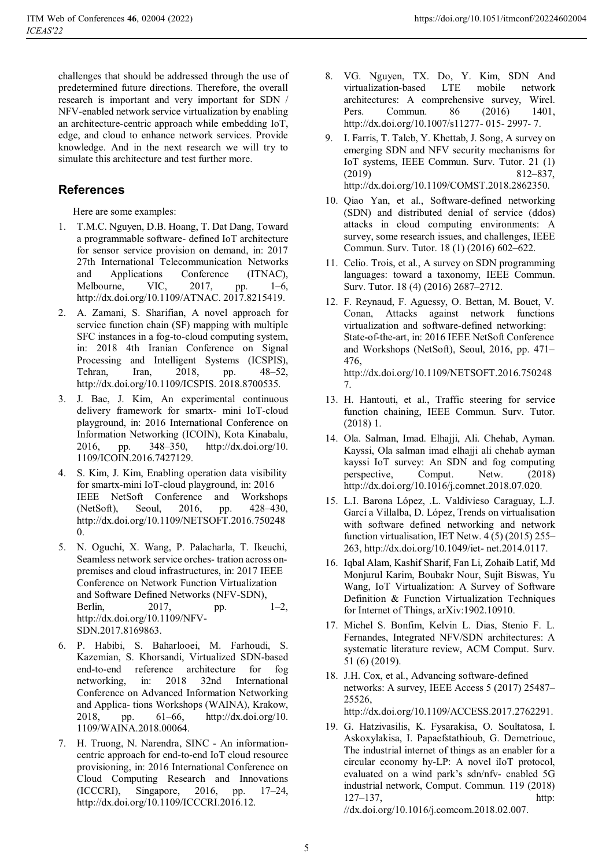challenges that should be addressed through the use of predetermined future directions. Therefore, the overall research is important and very important for SDN / NFV-enabled network service virtualization by enabling an architecture-centric approach while embedding IoT, edge, and cloud to enhance network services. Provide knowledge. And in the next research we will try to simulate this architecture and test further more.

# **References**

Here are some examples:

- 1. T.M.C. Nguyen, D.B. Hoang, T. Dat Dang, Toward a programmable software- defined IoT architecture for sensor service provision on demand, in: 2017 27th International Telecommunication Networks and Applications Conference (ITNAC), Melbourne, VIC, 2017, pp. 1–6, http://dx.doi.org/10.1109/ATNAC. 2017.8215419.
- 2. A. Zamani, S. Sharifian, A novel approach for service function chain (SF) mapping with multiple SFC instances in a fog-to-cloud computing system, in: 2018 4th Iranian Conference on Signal Processing and Intelligent Systems (ICSPIS), Tehran, Iran, 2018, pp. 48–52, http://dx.doi.org/10.1109/ICSPIS. 2018.8700535.
- 3. J. Bae, J. Kim, An experimental continuous delivery framework for smartx- mini IoT-cloud playground, in: 2016 International Conference on Information Networking (ICOIN), Kota Kinabalu, 2016, pp. 348–350, http://dx.doi.org/10. 1109/ICOIN.2016.7427129.
- S. Kim, J. Kim, Enabling operation data visibility for smartx-mini IoT-cloud playground, in: 2016 IEEE NetSoft Conference and Workshops (NetSoft), Seoul, 2016, pp. 428–430, http://dx.doi.org/10.1109/NETSOFT.2016.750248  $\Omega$ .
- 5. N. Oguchi, X. Wang, P. Palacharla, T. Ikeuchi, Seamless network service orches- tration across onpremises and cloud infrastructures, in: 2017 IEEE Conference on Network Function Virtualization and Software Defined Networks (NFV-SDN), Berlin, 2017, pp. 1–2, http://dx.doi.org/10.1109/NFV-SDN.2017.8169863.
- 6. P. Habibi, S. Baharlooei, M. Farhoudi, S. Kazemian, S. Khorsandi, Virtualized SDN-based end-to-end reference architecture for fog networking, in: 2018 32nd International Conference on Advanced Information Networking and Applica- tions Workshops (WAINA), Krakow, 2018, pp. 61–66, http://dx.doi.org/10. 1109/WAINA.2018.00064.
- 7. H. Truong, N. Narendra, SINC An informationcentric approach for end-to-end IoT cloud resource provisioning, in: 2016 International Conference on Cloud Computing Research and Innovations (ICCCRI), Singapore, 2016, pp. 17–24, http://dx.doi.org/10.1109/ICCCRI.2016.12.
- 8. VG. Nguyen, TX. Do, Y. Kim, SDN And virtualization-based LTE mobile network architectures: A comprehensive survey, Wirel. Pers. Commun. 86 (2016) 1401, http://dx.doi.org/10.1007/s11277- 015- 2997- 7.
- 9. I. Farris, T. Taleb, Y. Khettab, J. Song, A survey on emerging SDN and NFV security mechanisms for IoT systems, IEEE Commun. Surv. Tutor. 21 (1) (2019) 812–837, http://dx.doi.org/10.1109/COMST.2018.2862350.
- 10. Qiao Yan, et al., Software-defined networking (SDN) and distributed denial of service (ddos) attacks in cloud computing environments: A survey, some research issues, and challenges, IEEE Commun. Surv. Tutor. 18 (1) (2016) 602–622.
- 11. Celio. Trois, et al., A survey on SDN programming languages: toward a taxonomy, IEEE Commun. Surv. Tutor. 18 (4) (2016) 2687–2712.
- 12. F. Reynaud, F. Aguessy, O. Bettan, M. Bouet, V. Conan, Attacks against network functions virtualization and software-defined networking: State-of-the-art, in: 2016 IEEE NetSoft Conference and Workshops (NetSoft), Seoul, 2016, pp. 471– 476, http://dx.doi.org/10.1109/NETSOFT.2016.750248 7.
- 13. H. Hantouti, et al., Traffic steering for service function chaining, IEEE Commun. Surv. Tutor. (2018) 1.
- 14. Ola. Salman, Imad. Elhajji, Ali. Chehab, Ayman. Kayssi, Ola salman imad elhajji ali chehab ayman kayssi IoT survey: An SDN and fog computing perspective, Comput. Netw. (2018) http://dx.doi.org/10.1016/j.comnet.2018.07.020.
- 15. L.I. Barona López, .L. Valdivieso Caraguay, L.J. Garcí a Villalba, D. López, Trends on virtualisation with software defined networking and network function virtualisation, IET Netw. 4 (5) (2015) 255– 263, http://dx.doi.org/10.1049/iet- net.2014.0117.
- 16. Iqbal Alam, Kashif Sharif, Fan Li, Zohaib Latif, Md Monjurul Karim, Boubakr Nour, Sujit Biswas, Yu Wang, IoT Virtualization: A Survey of Software Definition & Function Virtualization Techniques for Internet of Things, arXiv:1902.10910.
- 17. Michel S. Bonfim, Kelvin L. Dias, Stenio F. L. Fernandes, Integrated NFV/SDN architectures: A systematic literature review, ACM Comput. Surv. 51 (6) (2019).
- 18. J.H. Cox, et al., Advancing software-defined networks: A survey, IEEE Access 5 (2017) 25487– 25526,

http://dx.doi.org/10.1109/ACCESS.2017.2762291.

19. G. Hatzivasilis, K. Fysarakisa, O. Soultatosa, I. Askoxylakisa, I. Papaefstathioub, G. Demetriouc, The industrial internet of things as an enabler for a circular economy hy-LP: A novel iIoT protocol, evaluated on a wind park's sdn/nfv- enabled 5G industrial network, Comput. Commun. 119 (2018) 127–137, http:

//dx.doi.org/10.1016/j.comcom.2018.02.007.